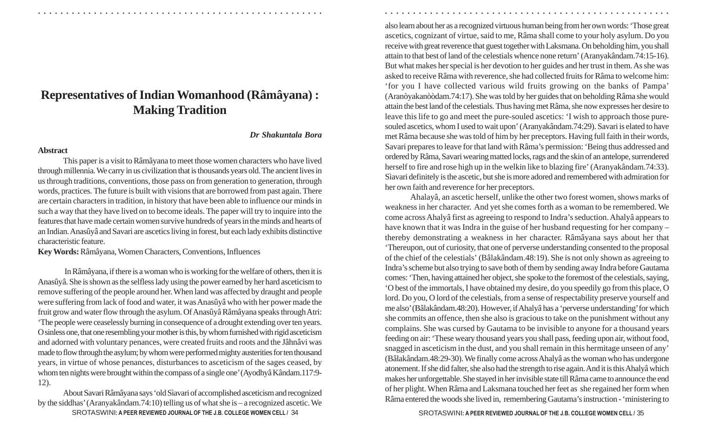# **Representatives of Indian Womanhood (Râmâyana) : Making Tradition**

## *Dr Shakuntala Bora*

## **Abstract**

This paper is a visit to R â m âyana to meet those women characters who have lived through millennia. We carry in us civilization that is thousands years old. The ancient lives in us through traditions, conventions, those pass on from generation to generation, through words, practices. The future is built with visions that are borrowed from past again. There are certain characters in tradition, in history that have been able to influence our minds in such a way that they have lived on to become ideals. The paper will try to inquire into the features that have made certain women survive hundreds of years in the minds and hearts of an Indian. Anasûyâ and Savari are ascetics living in forest, but each lady exhibits distinctive characteristic feature.

**Key Words:**  Râm âyana, Women Characters, Conventions, Influences

 In R âm âyana, if there is a woman who is working for the welfare of others, then it is An asû y â. She is shown as the selfless lady using the power earned by her hard asceticism to remove suffering of the people around her. When land was affected by draught and people were suffering from lack of food and water, it was An asû y â who with her power made the fruit grow and water flow through the asylum. Of Anasûyâ Râmâyana speaks through Atri: 'The people were ceaselessly burning in consequence of a drought extending over ten years. O sinless one, that one resembling your mother is this, by whom furnished with rigid asceticism and adorned with voluntary penances, were created fruits and roots and the J âhn âvi was made to flow through the asylum; by whom were performed mighty austerities for ten thousand years, in virtue of whose penances, disturbances to asceticism of the sages ceased, by whom ten nights were brought within the compass of a single one' (Ayodhy â K ândam.117:9- 12).

SROTASWINI**: A PEER REVIEWED JOURNAL OF THE J.B. COLLEGE WOMEN CELL /** SROTASWINI**: A PEER REVIEWED JOURNAL OF THE J.B. COLLEGE WOMEN CELL /** 34 35About Savari Râmâyana says 'old Sìavari of accomplished asceticism and recognized by the siddhas' (Aranyak ândam.74:10) telling us of what she is – a recognized ascetic. We

also learn about her as a recognized virtuous human being from her own words: 'Those great ascetics, cognizant of virtue, said to me, R âma shall come to your holy asylum. Do you receive with great reverence that guest together with Laksmana. On beholding him, you shall attain to that best of land of the celestials whence none return' (Aranyak ândam.74:15-16). But what makes her special is her devotion to her guides and her trust in them. As she was asked to receive R âma with reverence, she had collected fruits for R âma to welcome him: 'for you I have collected various wild fruits growing on the banks of Pampa' (Aranòyakanòòdam.74:17). She was told by her guides that on beholding R âma she would attain the best land of the celestials. Thus having met R âma, she now expresses her desire to leave this life to go and meet the pure-souled ascetics: 'I wish to approach those puresouled ascetics, whom I used to wait upon' (Aranyak ândam.74:29). Savari is elated to have met R âma because she was told of him by her preceptors. Having full faith in their words, Savari prepares to leave for that land with R âma's permission: 'Being thus addressed and ordered by R âma, Savari wearing matted locks, rags and the skin of an antelope, surrendered herself to fire and rose high up in the welkin like to blazing fire' (Aranyak ândam.74:33). Sìavari definitely is the ascetic, but she is more adored and remembered with admiration for her own faith and reverence for her preceptors.

○ ○ ○ ○ ○ ○ ○ ○ ○ ○ ○ ○ ○ ○ ○ ○ ○ ○ ○ ○ ○ ○ ○ ○ ○ ○ ○ ○ ○ ○ ○ ○ ○ ○ ○ ○ ○ ○ ○ ○ ○ ○ ○ ○ ○ ○ ○ ○ ○ ○ ○ ○ ○ ○ ○ ○ ○ ○ ○ ○ ○ ○ ○ ○ ○ ○ ○ ○ ○ ○ ○ ○ ○ ○ ○ ○ ○ ○ ○ ○ ○ ○ ○ ○ ○ ○ ○ ○ ○ ○ ○ ○ ○ ○ ○ ○ ○ ○ ○ ○ ○ ○

Ahalay â, an ascetic herself, unlike the other two forest women, shows marks of weakness in her character. And yet she comes forth as a woman to be remembered. We come across Ahaly â first as agreeing to respond to Indra's seduction. Ahaly â appears to have known that it was Indra in the guise of her husband requesting for her company – thereby demonstrating a weakness in her character. Râmâyana says about her that 'Thereupon, out of curiosity, that one of perverse understanding consented to the proposal of the chief of the celestials' (B âlak ândam.48:19). She is not only shown as agreeing to Indra's scheme but also trying to save both of them by sending away Indra before Gautama comes: 'Then, having attained her object, she spoke to the foremost of the celestials, saying, 'O best of the immortals, I have obtained my desire, do you speedily go from this place, O lord. Do you, O lord of the celestials, from a sense of respectability preserve yourself and me also' (B âlak ândam.48:20). However, if Ahaly â has a 'perverse understanding' for which she commits an offence, then she also is gracious to take on the punishment without any complains. She was cursed by Gautama to be invisible to anyone for a thousand years feeding on air: 'These weary thousand years you shall pass, feeding upon air, without food, snagged in asceticism in the dust, and you shall remain in this hermitage unseen of any' (B âlak ândam.48:29-30). We finally come across Ahaly â as the woman who has undergone atonement. If she did falter, she also had the strength to rise again. And it is this Ahaly â which makes her unforgettable. She stayed in her invisible state till R âma came to announce the end of her plight. When R âma and Laksmana touched her feet as she regained her form when R âma entered the woods she lived in, remembering Gautama's instruction - 'ministering to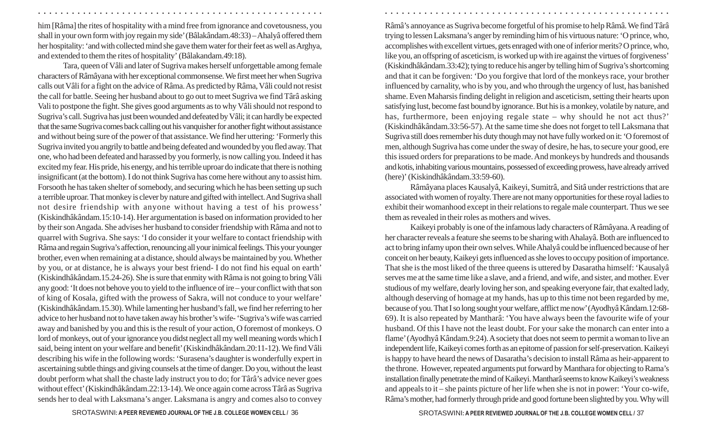him [R âma] the rites of hospitality with a mind free from ignorance and covetousness, you shall in your own form with joy regain my side' (B âlak ândam.48:33) – Ahaly â offered them her hospitality: 'and with collected mind she gave them water for their feet as well as Arghya, and extended to them the rites of hospitality' (B âlakandam.49:18).

Tara, queen of V âli and later of Sugriva makes herself unforgettable among female characters of Râm âyana with her exceptional commonsense. We first meet her when Sugriva calls out V âli for a fight on the advice of R âma. As predicted by R âma, V âli could not resist the call for battle. Seeing her husband about to go out to meet Sugriva we find Târâ asking Vali to postpone the fight. She gives good arguments as to why V âli should not respond to Sugriva's call. Sugriva has just been wounded and defeated by V âli; it can hardly be expected that the same Sugriva comes back calling out his vanquisher for another fight without assistance and without being sure of the power of that assistance. We find her uttering: 'Formerly this Sugriva invited you angrily to battle and being defeated and wounded by you fled away. That one, who had been defeated and harassed by you formerly, is now calling you. Indeed it has excited my fear. His pride, his energy, and his terrible uproar do indicate that there is nothing insignificant (at the bottom). I do not think Sugriva has come here without any to assist him. Forsooth he has taken shelter of somebody, and securing which he has been setting up such a terrible uproar. That monkey is clever by nature and gifted with intellect. And Sugriva shall not desire friendship with anyone without having a test of his prowess' (Kiskindh âkândam.15:10-14). Her argumentation is based on information provided to her by their son Angada. She advises her husband to consider friendship with R âma and not to quarrel with Sugriva. She says: 'I do consider it your welfare to contact friendship with R âma and regain Sugriva's affection, renouncing all your inimical feelings. This your younger brother, even when remaining at a distance, should always be maintained by you. Whether by you, or at distance, he is always your best friend- I do not find his equal on earth' (Kiskindhâkândam.15.24-26). She is sure that enmity with R âma is not going to bring V âli any good: 'It does not behove you to yield to the influence of ire – your conflict with that son of king of Kosala, gifted with the prowess of Sakra, will not conduce to your welfare' (Kiskindhâkândam.15.30). While lamenting her husband's fall, we find her referring to her advice to her husband not to have taken away his brother's wife- 'Sugriva's wife was carried away and banished by you and this is the result of your action, O foremost of monkeys. O lord of monkeys, out of your ignorance you didst neglect all my well meaning words which I said, being intent on your welfare and benefit' (Kiskindh âk ândam.20:11-12). We find V âli describing his wife in the following words: 'Surasena's daughter is wonderfully expert in ascertaining subtle things and giving counsels at the time of danger. Do you, without the least doubt perform what shall the chaste lady instruct you to do; for Târâ's advice never goes without effect' (Kiskindhâk ândam.22:13-14). We once again come across T ârâ as Sugriva sends her to deal with Laksmana's anger. Laksmana is angry and comes also to convey

Râmâ's annoyance as Sugriva become forgetful of his promise to help Râmâ. We find Târ â trying to lessen Laksmana's anger by reminding him of his virtuous nature: 'O prince, who, accomplishes with excellent virtues, gets enraged with one of inferior merits? O prince, who, like you, an offspring of asceticism, is worked up with ire against the virtues of forgiveness' (Kiskindh âkândam.33:42); tying to reduce his anger by telling him of Sugriva's shortcoming and that it can be forgiven: 'Do you forgive that lord of the monkeys race, your brother influenced by carnality, who is by you, and who through the urgency of lust, has banished shame. Even Maharsis finding delight in religion and asceticism, setting their hearts upon satisfying lust, become fast bound by ignorance. But his is a monkey, volatile by nature, and has, furthermore, been enjoying regale state – why should he not act thus?' (Kiskindh âk ândam.33:56-57). At the same time she does not forget to tell Laksmana that Sugriva still does remember his duty though may not have fully worked on it: 'O foremost of men, although Sugriva has come under the sway of desire, he has, to secure your good, ere this issued orders for preparations to be made. And monkeys by hundreds and thousands and kotis, inhabiting various mountains, possessed of exceeding prowess, have already arrived (here)' (Kiskindhâkândam.33:59-60).

○ ○ ○ ○ ○ ○ ○ ○ ○ ○ ○ ○ ○ ○ ○ ○ ○ ○ ○ ○ ○ ○ ○ ○ ○ ○ ○ ○ ○ ○ ○ ○ ○ ○ ○ ○ ○ ○ ○ ○ ○ ○ ○ ○ ○ ○ ○ ○ ○ ○ ○ ○ ○ ○ ○ ○ ○ ○ ○ ○ ○ ○ ○ ○ ○ ○ ○ ○ ○ ○ ○ ○ ○ ○ ○ ○ ○ ○ ○ ○ ○ ○ ○ ○ ○ ○ ○ ○ ○ ○ ○ ○ ○ ○ ○ ○ ○ ○ ○ ○ ○ ○

Râ m âyana places Kausaly â, Kaikeyi, Sumitr â, and Sit â under restrictions that are associated with women of royalty. There are not many opportunities for these royal ladies to exhibit their womanhood except in their relations to regale male counterpart. Thus we see them as revealed in their roles as mothers and wives.

Kaikeyi probably is one of the infamous lady characters of R âm âyana. A reading of her character reveals a feature she seems to be sharing with Ahalay â. Both are influenced to act to bring infamy upon their own selves. While Ahaly â could be influenced because of her conceit on her beauty, Kaikeyi gets influenced as she loves to occupy position of importance. That she is the most liked of the three queens is uttered by Dasaratha himself: 'Kausaly â serves me at the same time like a slave, and a friend, and wife, and sister, and mother. Ever studious of my welfare, dearly loving her son, and speaking everyone fair, that exalted lady, although deserving of homage at my hands, has up to this time not been regarded by me, because of you. That I so long sought your welfare, afflict me now' (Ayodhy â K ândam.12:68- 69). It is also repeated by Manthar â: 'You have always been the favourite wife of your husband. Of this I have not the least doubt. For your sake the monarch can enter into a flame' (Ayodhy â K ândam.9:24). A society that does not seem to permit a woman to live an independent life, Kaikeyi comes forth as an epitome of passion for self-preservation. Kaikeyi is happy to have heard the news of Dasaratha's decision to install R âma as heir-apparent to the throne. However, repeated arguments put forward by Manthara for objecting to Rama's installation finally penetrate the mind of Kaikeyi. Mantharâ seems to know Kaikeyi's weakness and appeals to it – she paints picture of her life when she is not in power: 'Your co-wife, Râma's mother, had formerly through pride and good fortune been slighted by you. Why will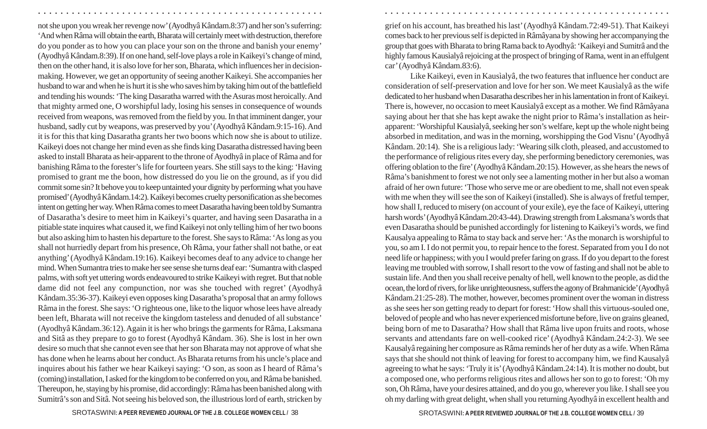not she upon you wreak her revenge now' (Ayodhy â K ândam.8:37) and her son's suferring: 'And when R âma will obtain the earth, Bharata will certainly meet with destruction, therefore do you ponder as to how you can place your son on the throne and banish your enemy' (Ayodhy â K ândam.8:39). If on one hand, self-love plays a role in Kaikeyi's change of mind, then on the other hand, it is also love for her son, Bharata, which influences her in decisionmaking. However, we get an opportunity of seeing another Kaikeyi. She accompanies her husband to war and when he is hurt it is she who saves him by taking him out of the battlefield and tending his wounds: 'The king Dasaratha warred with the Asuras most heroically. And that mighty armed one, O worshipful lady, losing his senses in consequence of wounds received from weapons, was removed from the field by you. In that imminent danger, your husband, sadly cut by weapons, was preserved by you' (Ayodhy â K ândam.9:15-16). And it is for this that king Dasaratha grants her two boons which now she is about to utilize. Kaikeyi does not change her mind even as she finds king Dasaratha distressed having been asked to install Bharata as heir-apparent to the throne of Ayodhy â in place of R âma and for banishing R âma to the forester's life for fourteen years. She still says to the king: 'Having promised to grant me the boon, how distressed do you lie on the ground, as if you did commit some sin? It behove you to keep untainted your dignity by performing what you have promised' (Ayodhy â K ândam.14:2). Kaikeyi becomes cruelty personification as she becomes intent on getting her way. When R âma comes to meet Dasaratha having been told by Sumantra of Dasaratha's desire to meet him in Kaikeyi's quarter, and having seen Dasaratha in a pitiable state inquires what caused it, we find Kaikeyi not only telling him of her two boons but also asking him to hasten his departure to the forest. She says to R âma: 'As long as you shall not hurriedly depart from his presence, Oh R âma, your father shall not bathe, or eat anything' (Ayodhy â K ândam.19:16). Kaikeyi becomes deaf to any advice to change her mind. When Sumantra tries to make her see sense she turns deaf ear: 'Sumantra with clasped palms, with soft yet uttering words endeavoured to strike Kaikeyi with regret. But that noble dame did not feel any compunction, nor was she touched with regret' (Ayodhy â K ândam.35:36-37). Kaikeyi even opposes king Dasaratha's proposal that an army follows R âma in the forest. She says: 'O righteous one, like to the liquor whose lees have already been left, Bharata will not receive the kingdom tasteless and denuded of all substance' (Ayodhy â K ândam.36:12). Again it is her who brings the garments for R âma, Laksmana and Sit â as they prepare to go to forest (Ayodhy â K ândam. 36). She is lost in her own desire so much that she cannot even see that her son Bharata may not approve of what she has done when he learns about her conduct. As Bharata returns from his uncle's place and inquires about his father we hear Kaikeyi saying: 'O son, as soon as I heard of R âma's (coming) installation, I asked for the kingdom to be conferred on you, and R âma be banished. Thereupon, he, staying by his promise, did accordingly: R âma has been banished along with Sumitr â's son and Sit â. Not seeing his beloved son, the illustrious lord of earth, stricken by

grief on his account, has breathed his last' (Ayodhy â K ândam.72:49-51). That Kaikeyi comes back to her previous self is depicted in R âm âyana by showing her accompanying the group that goes with Bharata to bring Rama back to Ayodhy â: 'Kaikeyi and Sumitr â and the highly famous Kausìaly â rejoicing at the prospect of bringing of Rama, went in an effulgent car' (Ayodhy â K ândam.83:6).

○ ○ ○ ○ ○ ○ ○ ○ ○ ○ ○ ○ ○ ○ ○ ○ ○ ○ ○ ○ ○ ○ ○ ○ ○ ○ ○ ○ ○ ○ ○ ○ ○ ○ ○ ○ ○ ○ ○ ○ ○ ○ ○ ○ ○ ○ ○ ○ ○ ○ ○ ○ ○ ○ ○ ○ ○ ○ ○ ○ ○ ○ ○ ○ ○ ○ ○ ○ ○ ○ ○ ○ ○ ○ ○ ○ ○ ○ ○ ○ ○ ○ ○ ○ ○ ○ ○ ○ ○ ○ ○ ○ ○ ○ ○ ○ ○ ○ ○ ○ ○ ○

Like Kaikeyi, even in Kausìaly â, the two features that influence her conduct are consideration of self-preservation and love for her son. We meet Kausìaly â as the wife dedicated to her husband when Dasaratha describes her in his lamentation in front of Kaikeyi. There is, however, no occasion to meet Kausìaly â except as a mother. We find Râmâyana saying about her that she has kept awake the night prior to R âma's installation as heir apparent: 'Worshipful Kausìaly â, seeking her son's welfare, kept up the whole night being absorbed in meditation, and was in the morning, worshipping the God Visnu' (Ayodhy â K ândam. 20:14). She is a religious lady: 'Wearing silk cloth, pleased, and accustomed to the performance of religious rites every day, she performing benedictory ceremonies, was offering oblation to the fire' (Ayodhy â K ândam.20:15). However, as she hears the news of R âma's banishment to forest we not only see a lamenting mother in her but also a woman afraid of her own future: 'Those who serve me or are obedient to me, shall not even speak with me when they will see the son of Kaikeyi (installed). She is always of fretful temper, how shall I, reduced to misery (on account of your exile), eye the face of Kaikeyi, uttering harsh words' (Ayodhy â K ândam.20:43-44). Drawing strength from Laksmana's words that even Dasaratha should be punished accordingly for listening to Kaikeyi's words, we find Kausalya appealing to R âma to stay back and serve her: 'As the monarch is worshipful to you, so am I. I do not permit you, to repair hence to the forest. Separated from you I do not need life or happiness; with you I would prefer faring on grass. If do you depart to the forest leaving me troubled with sorrow, I shall resort to the vow of fasting and shall not be able to sustain life. And then you shall receive penalty of hell, well known to the people, as did the ocean, the lord of rivers, for like unrighteousness, suffers the agony of Brahmanicide' (Ayodhy â Kândam.21:25-28). The mother, however, becomes prominent over the woman in distress as she sees her son getting ready to depart for forest: 'How shall this virtuous-souled one, beloved of people and who has never experienced misfortune before, live on grains gleaned, being born of me to Dasaratha? How shall that R âma live upon fruits and roots, whose servants and attendants fare on well-cooked rice' (Ayodhy â K ândam.24:2-3). We see Kausaly â regaining her composure as R âma reminds her of her duty as a wife. When R âma says that she should not think of leaving for forest to accompany him, we find Kausaly â agreeing to what he says: 'Truly it is' (Ayodhy â K ândam.24:14). It is mother no doubt, but a composed one, who performs religious rites and allows her son to go to forest: 'Oh my son, Oh R âma, have your desires attained, and do you go, wherever you like. I shall see you oh my darling with great delight, when shall you returning Ayodhy â in excellent health and

SROTASWINI**: A PEER REVIEWED JOURNAL OF THE J.B. COLLEGE WOMEN CELL /** SROTASWINI**: A PEER REVIEWED JOURNAL OF THE J.B. COLLEGE WOMEN CELL /** 38 39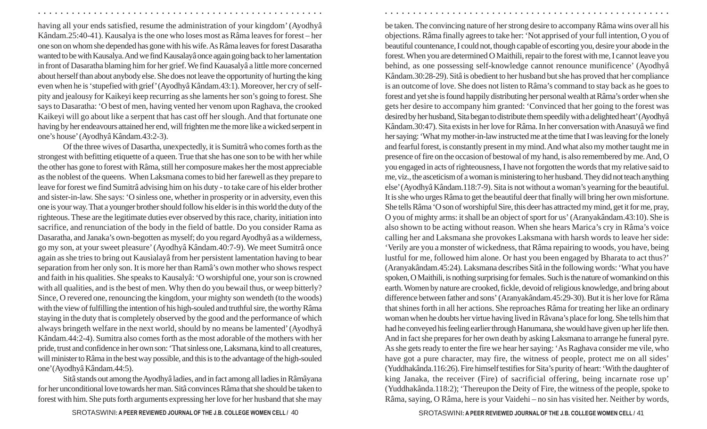having all your ends satisfied, resume the administration of your kingdom' (Ayodhy â K ândam.25:40-41). Kausalya is the one who loses most as R âma leaves for forest – her one son on whom she depended has gone with his wife. As R âma leaves for forest Dasaratha wanted to be with Kausalya. And we find Kausalay â once again going back to her lamentation in front of Dasaratha blaming him for her grief. We find Kauasaly â a little more concerned about herself than about anybody else. She does not leave the opportunity of hurting the king even when he is 'stupefied with grief' (Ayodhy â K ândam.43:1). Moreover, her cry of selfpity and jealousy for Kaikeyi keep recurring as she laments her son's going to forest. She says to Dasaratha: 'O best of men, having vented her venom upon Raghava, the crooked Kaikeyi will go about like a serpent that has cast off her slough. And that fortunate one having by her endeavours attained her end, will frighten me the more like a wicked serpent in one's house' (Ayodhy â K ândam.43:2-3).

○ ○ ○ ○ ○ ○ ○ ○ ○ ○ ○ ○ ○ ○ ○ ○ ○ ○ ○ ○ ○ ○ ○ ○ ○ ○ ○ ○ ○ ○ ○ ○ ○ ○ ○ ○ ○ ○ ○ ○ ○ ○ ○ ○ ○ ○ ○ ○ ○ ○ ○ ○ ○ ○ ○ ○ ○ ○ ○ ○ ○ ○ ○ ○ ○ ○ ○ ○ ○ ○ ○ ○ ○ ○ ○ ○ ○ ○ ○ ○ ○ ○ ○ ○ ○ ○ ○ ○ ○ ○ ○ ○ ○ ○ ○ ○ ○ ○ ○ ○ ○ ○

Of the three wives of Dasartha, unexpectedly, it is Sumitr â who comes forth as the strongest with befitting etiquette of a queen. True that she has one son to be with her while the other has gone to forest with R âma, still her composure makes her the most appreciable as the noblest of the queens. When Laksmana comes to bid her farewell as they prepare to leave for forest we find Sumitr â advising him on his duty - to take care of his elder brother and sister-in-law. She says: 'O sinless one, whether in prosperity or in adversity, even this one is your way. That a younger brother should follow his elder is in this world the duty of the righteous. These are the legitimate duties ever observed by this race, charity, initiation into sacrifice, and renunciation of the body in the field of battle. Do you consider Rama as Dasaratha, and Janaka's own-begotten as myself; do you regard Ayodhy â as a wilderness, go my son, at your sweet pleasure' (Ayodhy â K ândam.40:7-9). We meet Sumitr â once again as she tries to bring out Kausìalay â from her persistent lamentation having to bear separation from her only son. It is more her than Ram â's own mother who shows respect and faith in his qualities. She speaks to Kausaly â: 'O worshipful one, your son is crowned with all qualities, and is the best of men. Why then do you bewail thus, or weep bitterly? Since, O revered one, renouncing the kingdom, your mighty son wendeth (to the woods) with the view of fulfilling the intention of his high-souled and truthful sire, the worthy R âma staying in the duty that is completely observed by the good and the performance of which always bringeth welfare in the next world, should by no means be lamented' (Ayodhy â K ândam.44:2-4). Sumitr a also comes forth as the most adorable of the mothers with her pride, trust and confidence in her own son: 'That sinless one, Laksmana, kind to all creatures, will minister to R âma in the best way possible, and this is to the advantage of the high-souled one'(Ayodhy â K ândam.44:5).

Sit â stands out among the Ayodhy â ladies, and in fact among all ladies in Râmâyana for her unconditional love towards her man. Sit â convinces R âma that she should be taken to forest with him. She puts forth arguments expressing her love for her husband that she may

be taken. The convincing nature of her strong desire to accompany R âma wins over all his objections. R âma finally agrees to take her: 'Not apprised of your full intention, O you of beautiful countenance, I could not, though capable of escorting you, desire your abode in the forest. When you are determined O Maithili, repair to the forest with me, I cannot leave you behind, as one possessing self-knowledge cannot renounce munificence' (Ayodhy â K ândam.30:28-29). Sit â is obedient to her husband but she has proved that her compliance is an outcome of love. She does not listen to R âma's command to stay back as he goes to forest and yet she is found happily distributing her personal wealth at R âma's order when she gets her desire to accompany him granted: 'Convinced that her going to the forest was desired by her husband, Sita began to distribute them speedily with a delighted heart' (Ayodhy â Kândam.30:47). Sita exists in her love for Râma. In her conversation with Anasuyâ we find her saying: 'What my mother-in-law instructed me at the time that I was leaving for the lonely and fearful forest, is constantly present in my mind. And what also my mother taught me in presence of fire on the occasion of bestowal of my hand, is also remembered by me. And, O you engaged in acts of righteousness, I have not forgotten the words that my relative said to me, viz., the asceticism of a woman is ministering to her husband. They did not teach anything else' (Ayodhy â K ândam.118:7-9). Sita is not without a woman's yearning for the beautiful. It is she who urges R âma to get the beautiful deer that finally will bring her own misfortune. She tells R âma 'O son of worshipful Sire, this deer has attracted my mind, get it for me, pray, O you of mighty arms: it shall be an object of sport for us' (Aranyak ândam.43:10). She is also shown to be acting without reason. When she hears Marica's cry in R âma's voice calling her and Laksmana she provokes Laksmana with harsh words to leave her side: 'Verily are you a monster of wickedness, that R âma repairing to woods, you have, being lustful for me, followed him alone. Or hast you been engaged by Bharata to act thus?' (Aranyak ândam.45:24). Laksmana describes Sit â in the following words: 'What you have spoken, O Maithili, is nothing surprising for females. Such is the nature of womankind on this earth. Women by nature are crooked, fickle, devoid of religious knowledge, and bring about difference between father and sons' (Aranyak ândam.45:29-30). But it is her love for R âma that shines forth in all her actions. She reproaches R âma for treating her like an ordinary woman when he doubts her virtue having lived in R âvana's place for long. She tells him that had he conveyed his feeling earlier through Hanumana, she would have given up her life then. And in fact she prepares for her own death by asking Laksmana to arrange he funeral pyre. As she gets ready to enter the fire we hear her saying: 'As Raghava consider me vile, who have got a pure character, may fire, the witness of people, protect me on all sides' (Yuddhak ânda.116:26). Fire himself testifies for Sita's purity of heart: 'With the daughter of king Janaka, the receiver (Fire) of sacrificial offering, being incarnate rose up' (Yuddhak ânda.118:2); 'Thereupon the Deity of Fire, the witness of the people, spoke to Râma, saying, O Râma, here is your Vaidehi – no sin has visited her. Neither by words,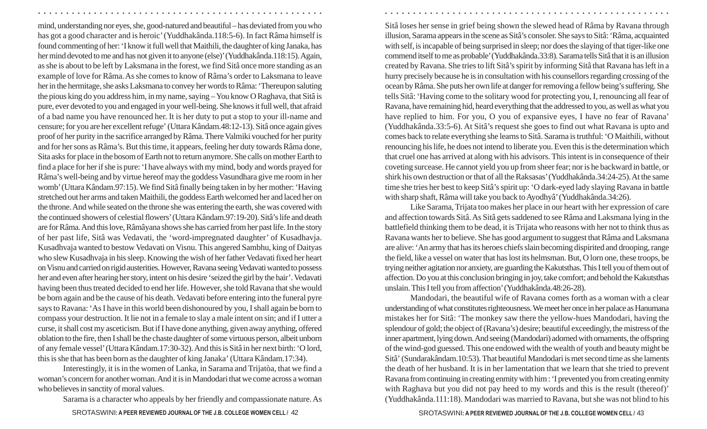mind, understanding nor eyes, she, good-natured and beautiful – has deviated from you who has got a good character and is heroic' (Yuddhak ânda.118:5-6). In fact R âma himself is found commenting of her: 'I know it full well that Maithili, the daughter of king Janaka, has her mind devoted to me and has not given it to anyone (else)' (Yuddhak ânda.118:15). Again, as she is about to be left by Laksmana in the forest, we find Sit â once more standing as an example of love for R âma. As she comes to know of R âma's order to Laksmana to leave her in the hermitage, she asks Laksmana to convey her words to R âma: 'Thereupon saluting the pious king do you address him, in my name, saying – You know O Raghava, that Sit â is pure, ever devoted to you and engaged in your well-being. She knows it full well, that afraid of a bad name you have renounced her. It is her duty to put a stop to your ill-name and censure; for you are her excellent refuge' (Uttara K ândam.48:12-13). Sit â once again gives proof of her purity in the sacrifice arranged by R âma. There Valmiki vouched for her purity and for her sons as R âma's. But this time, it appears, feeling her duty towards R âma done, Sita asks for place in the bosom of Earth not to return anymore. She calls on mother Earth to find a place for her if she is pure: 'I have always with my mind, body and words prayed for R âma's well-being and by virtue hereof may the goddess Vasundhara give me room in her womb' (Uttara K ândam.97:15). We find Sit â finally being taken in by her mother: 'Having stretched out her arms and taken Maithili, the goddess Earth welcomed her and laced her on the throne. And while seated on the throne she was entering the earth, she was covered with the continued showers of celestial flowers' (Uttara K ândam.97:19-20). Sit â's life and death are for R âma. And this love, R âm âyana shows she has carried from her past life. In the story of her past life, Sit â was Vedavati, the 'word-impregnated daughter' of Kusadhavja. Kusadhvaja wanted to bestow Vedavati on Visnu. This angered Sambhu, king of Daityas who slew Kusadhvaja in his sleep. Knowing the wish of her father Vedavati fixed her heart on Visnu and carried on rigid austerities. However, Ravana seeing Vedavati wanted to possess her and even after hearing her story, intent on his desire 'seized the girl by the hair'. Vedavati having been thus treated decided to end her life. However, she told Ravana that she would be born again and be the cause of his death. Vedavati before entering into the funeral pyre says to Ravana: 'As I have in this world been dishonoured by you, I shall again be born to compass your destruction. It lie not in a female to slay a male intent on sin; and if I utter a curse, it shall cost my asceticism. But if I have done anything, given away anything, offered oblation to the fire, then I shall be the chaste daughter of some virtuous person, albeit unborn of any female vessel' (Uttara K ândam.17:30-32). And this is Sit â in her next birth: 'O lord, this is she that has been born as the daughter of king Janaka' (Uttara K ândam.17:34).

Interestingly, it is in the women of Lanka, in Sarama and Trijatòa, that we find a woman's concern for another woman. And it is in Mandodari that we come across a woman who believes in sanctity of moral values.

Sarama is a character who appeals by her friendly and compassionate nature. As

Sit â loses her sense in grief being shown the slewed head of R âma by Ravana through illusion, Sarama appears in the scene as Sit â's consoler. She says to Sit â: 'R âma, acquainted with self, is incapable of being surprised in sleep; nor does the slaying of that tiger-like one commend itself to me as probable' (Yuddhak ânda.33:8). Sarama tells Sitâ that it is an illusion created by Ravana. She tries to lift Sit â's spirit by informing Sit â that Ravana has left in a hurry precisely because he is in consultation with his counsellors regarding crossing of the ocean by R âma. She puts her own life at danger for removing a fellow being's suffering. She tells Sit â: 'Having come to the solitary wood for protecting you, I, renouncing all fear of Ravana, have remaining hid, heard everything that the addressed to you, as well as what you have replied to him. For you, O you of expansive eyes, I have no fear of Ravana' (Yuddhak ânda.33:5-6). At Sit â's request she goes to find out what Ravana is upto and comes back to relate everything she learns to Sit â. Sarama is truthful: 'O Maithili, without renouncing his life, he does not intend to liberate you. Even this is the determination which that cruel one has arrived at along with his advisors. This intent is in consequence of their coveting surcease. He cannot yield you up from sheer fear; nor is he backward in battle, or shirk his own destruction or that of all the Raksasas' (Yuddhak ânda.34:24-25). At the same time she tries her best to keep Sit â's spirit up: 'O dark-eyed lady slaying Ravana in battle with sharp shaft, R âma will take you back to Ayodhy â' (Yuddhak ânda.34:26).

○ ○ ○ ○ ○ ○ ○ ○ ○ ○ ○ ○ ○ ○ ○ ○ ○ ○ ○ ○ ○ ○ ○ ○ ○ ○ ○ ○ ○ ○ ○ ○ ○ ○ ○ ○ ○ ○ ○ ○ ○ ○ ○ ○ ○ ○ ○ ○ ○ ○ ○ ○ ○ ○ ○ ○ ○ ○ ○ ○ ○ ○ ○ ○ ○ ○ ○ ○ ○ ○ ○ ○ ○ ○ ○ ○ ○ ○ ○ ○ ○ ○ ○ ○ ○ ○ ○ ○ ○ ○ ○ ○ ○ ○ ○ ○ ○ ○ ○ ○ ○ ○

Like Sarama, Trijata too makes her place in our heart with her expression of care and affection towards Sit â. As Sit â gets saddened to see R âma and Laksmana lying in the battlefield thinking them to be dead, it is Trijata who reasons with her not to think thus as Ravana wants her to believe. She has good argument to suggest that R âma and Laksmana are alive: 'An army that has its heroes chiefs slain becoming dispirited and drooping, range the field, like a vessel on water that has lost its helmsman. But, O lorn one, these troops, be trying neither agitation nor anxiety, are guarding the Kakutsthas. This I tell you of them out of affection. Do you at this conclusion bringing in joy, take comfort; and behold the Kakutsthas unslain. This I tell you from affection' (Yuddhak ânda.48:26-28).

Mandodari, the beautiful wife of Ravana comes forth as a woman with a clear understanding of what constitutes righteousness. We meet her once in her palace as Hanumana mistakes her for Sit â: 'The monkey saw there the yellow-hues Mandodari, having the splendour of gold; the object of (Ravana's) desire; beautiful exceedingly, the mistress of the inner apartment, lying down. And seeing (Mandodari) adorned with ornaments, the offspring of the wind-god guessed. This one endowed with the wealth of youth and beauty might be Sit â' (Sundarak ândam.10:53). That beautiful Mandodari is met second time as she laments the death of her husband. It is in her lamentation that we learn that she tried to prevent Ravana from continuing in creating enmity with him : 'I prevented you from creating enmity with Raghava but you did not pay heed to my words and this is the result (thereof)' (Yuddhak ânda.111:18). Mandodari was married to Ravana, but she was not blind to his